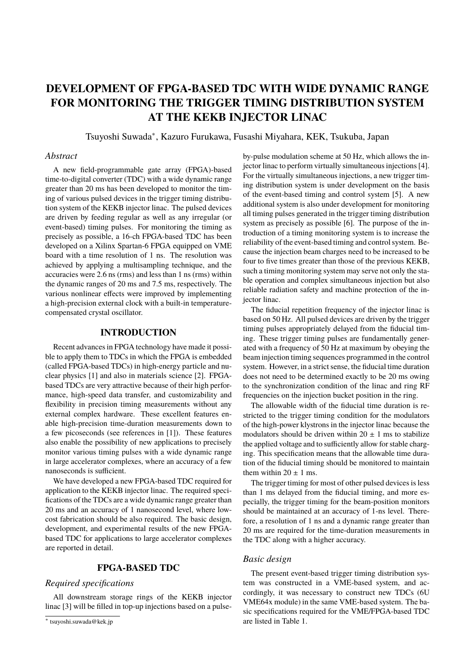# **DEVELOPMENT OF FPGA-BASED TDC WITH WIDE DYNAMIC RANGE FOR MONITORING THE TRIGGER TIMING DISTRIBUTION SYSTEM AT THE KEKB INJECTOR LINAC**

Tsuyoshi Suwada∗ , Kazuro Furukawa, Fusashi Miyahara, KEK, Tsukuba, Japan

#### *Abstract*

A new field-programmable gate array (FPGA)-based time-to-digital converter (TDC) with a wide dynamic range greater than 20 ms has been developed to monitor the timing of various pulsed devices in the trigger timing distribution system of the KEKB injector linac. The pulsed devices are driven by feeding regular as well as any irregular (or event-based) timing pulses. For monitoring the timing as precisely as possible, a 16-ch FPGA-based TDC has been developed on a Xilinx Spartan-6 FPGA equipped on VME board with a time resolution of 1 ns. The resolution was achieved by applying a multisampling technique, and the accuracies were 2.6 ns (rms) and less than 1 ns (rms) within the dynamic ranges of 20 ms and 7.5 ms, respectively. The various nonlinear effects were improved by implementing a high-precision external clock with a built-in temperaturecompensated crystal oscillator.

## **INTRODUCTION**

Recent advances in FPGA technology have made it possible to apply them to TDCs in which the FPGA is embedded (called FPGA-based TDCs) in high-energy particle and nuclear physics [1] and also in materials science [2]. FPGAbased TDCs are very attractive because of their high performance, high-speed data transfer, and customizability and flexibility in precision timing measurements without any external complex hardware. These excellent features enable high-precision time-duration measurements down to a few picoseconds (see references in [1]). These features also enable the possibility of new applications to precisely monitor various timing pulses with a wide dynamic range in large accelerator complexes, where an accuracy of a few nanoseconds is sufficient.

We have developed a new FPGA-based TDC required for application to the KEKB injector linac. The required specifications of the TDCs are a wide dynamic range greater than 20 ms and an accuracy of 1 nanosecond level, where lowcost fabrication should be also required. The basic design, development, and experimental results of the new FPGAbased TDC for applications to large accelerator complexes are reported in detail.

#### **FPGA-BASED TDC**

## *Required specifications*

All downstream storage rings of the KEKB injector linac [3] will be filled in top-up injections based on a pulseby-pulse modulation scheme at 50 Hz, which allows the injector linac to perform virtually simultaneous injections [4]. For the virtually simultaneous injections, a new trigger timing distribution system is under development on the basis of the event-based timing and control system [5]. A new additional system is also under development for monitoring all timing pulses generated in the trigger timing distribution system as precisely as possible [6]. The purpose of the introduction of a timing monitoring system is to increase the reliability of the event-based timing and control system. Because the injection beam charges need to be increased to be four to five times greater than those of the previous KEKB, such a timing monitoring system may serve not only the stable operation and complex simultaneous injection but also reliable radiation safety and machine protection of the injector linac.

The fiducial repetition frequency of the injector linac is based on 50 Hz. All pulsed devices are driven by the trigger timing pulses appropriately delayed from the fiducial timing. These trigger timing pulses are fundamentally generated with a frequency of 50 Hz at maximum by obeying the beam injection timing sequences programmed in the control system. However, in a strict sense, the fiducial time duration does not need to be determined exactly to be 20 ms owing to the synchronization condition of the linac and ring RF frequencies on the injection bucket position in the ring.

The allowable width of the fiducial time duration is restricted to the trigger timing condition for the modulators of the high-power klystrons in the injector linac because the modulators should be driven within  $20 \pm 1$  ms to stabilize the applied voltage and to sufficiently allow for stable charging. This specification means that the allowable time duration of the fiducial timing should be monitored to maintain them within  $20 \pm 1$  ms.

The trigger timing for most of other pulsed devices is less than 1 ms delayed from the fiducial timing, and more especially, the trigger timing for the beam-position monitors should be maintained at an accuracy of 1-ns level. Therefore, a resolution of 1 ns and a dynamic range greater than 20 ms are required for the time-duration measurements in the TDC along with a higher accuracy.

#### *Basic design*

The present event-based trigger timing distribution system was constructed in a VME-based system, and accordingly, it was necessary to construct new TDCs (6U VME64x module) in the same VME-based system. The basic specifications required for the VME/FPGA-based TDC are listed in Table 1.

<sup>∗</sup> tsuyoshi.suwada@kek.jp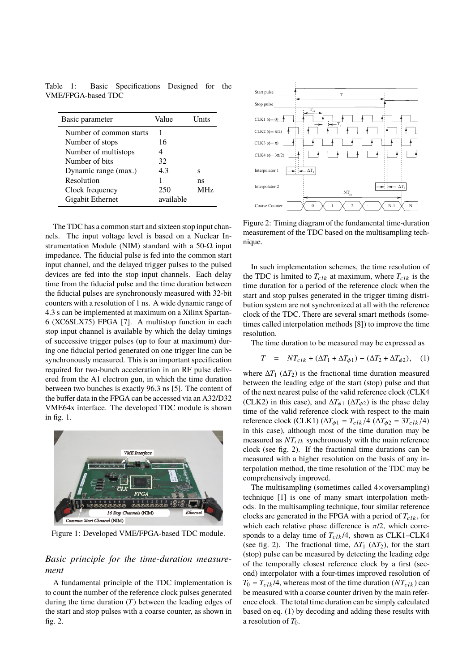Table 1: Basic Specifications Designed for the VME/FPGA-based TDC

| Basic parameter         | Value     | I Inits    |
|-------------------------|-----------|------------|
| Number of common starts |           |            |
| Number of stops         | 16        |            |
| Number of multistops    | 4         |            |
| Number of bits          | 32        |            |
| Dynamic range (max.)    | 4.3       | s          |
| Resolution              |           | ns         |
| Clock frequency         | 250       | <b>MHz</b> |
| Gigabit Ethernet        | available |            |

The TDC has a common start and sixteen stop input channels. The input voltage level is based on a Nuclear Instrumentation Module (NIM) standard with a 50- $\Omega$  input impedance. The fiducial pulse is fed into the common start input channel, and the delayed trigger pulses to the pulsed devices are fed into the stop input channels. Each delay time from the fiducial pulse and the time duration between the fiducial pulses are synchronously measured with 32-bit counters with a resolution of 1 ns. A wide dynamic range of 4.3 s can be implemented at maximum on a Xilinx Spartan-6 (XC6SLX75) FPGA [7]. A multistop function in each stop input channel is available by which the delay timings of successive trigger pulses (up to four at maximum) during one fiducial period generated on one trigger line can be synchronously measured. This is an important specification required for two-bunch acceleration in an RF pulse delivered from the A1 electron gun, in which the time duration between two bunches is exactly 96.3 ns [5]. The content of the buffer data in the FPGA can be accessed via an A32/D32 VME64x interface. The developed TDC module is shown in fig. 1.



Figure 1: Developed VME/FPGA-based TDC module.

# *Basic principle for the time-duration measurement*

A fundamental principle of the TDC implementation is to count the number of the reference clock pulses generated during the time duration (*T*) between the leading edges of the start and stop pulses with a coarse counter, as shown in fig. 2.



Figure 2: Timing diagram of the fundamental time-duration measurement of the TDC based on the multisampling technique.

In such implementation schemes, the time resolution of the TDC is limited to  $T_{clk}$  at maximum, where  $T_{clk}$  is the time duration for a period of the reference clock when the start and stop pulses generated in the trigger timing distribution system are not synchronized at all with the reference clock of the TDC. There are several smart methods (sometimes called interpolation methods [8]) to improve the time resolution.

The time duration to be measured may be expressed as

$$
T = NT_{clk} + (\Delta T_1 + \Delta T_{\phi 1}) - (\Delta T_2 + \Delta T_{\phi 2}), \quad (1)
$$

where  $\Delta T_1$  ( $\Delta T_2$ ) is the fractional time duration measured between the leading edge of the start (stop) pulse and that of the next nearest pulse of the valid reference clock (CLK4 (CLK2) in this case), and  $\Delta T_{\phi 1}$  ( $\Delta T_{\phi 2}$ ) is the phase delay time of the valid reference clock with respect to the main reference clock (CLK1) (Δ $T_{φ1} = T_{clk}/4$  (Δ $T_{φ2} = 3T_{clk}/4$ ) in this case), although most of the time duration may be measured as  $NT_{clk}$  synchronously with the main reference clock (see fig. 2). If the fractional time durations can be measured with a higher resolution on the basis of any interpolation method, the time resolution of the TDC may be comprehensively improved.

The multisampling (sometimes called  $4 \times$ oversampling) technique [1] is one of many smart interpolation methods. In the multisampling technique, four similar reference clocks are generated in the FPGA with a period of  $T_{c1k}$ , for which each relative phase difference is  $\pi/2$ , which corresponds to a delay time of  $T_{clk} / 4$ , shown as CLK1–CLK4 (see fig. 2). The fractional time,  $\Delta T_1$  ( $\Delta T_2$ ), for the start (stop) pulse can be measured by detecting the leading edge of the temporally closest reference clock by a first (second) interpolator with a four-times improved resolution of  $T_0 = T_{\text{clk}}/4$ , whereas most of the time duration  $(NT_{\text{clk}})$  can be measured with a coarse counter driven by the main reference clock. The total time duration can be simply calculated based on eq. (1) by decoding and adding these results with a resolution of  $T_0$ .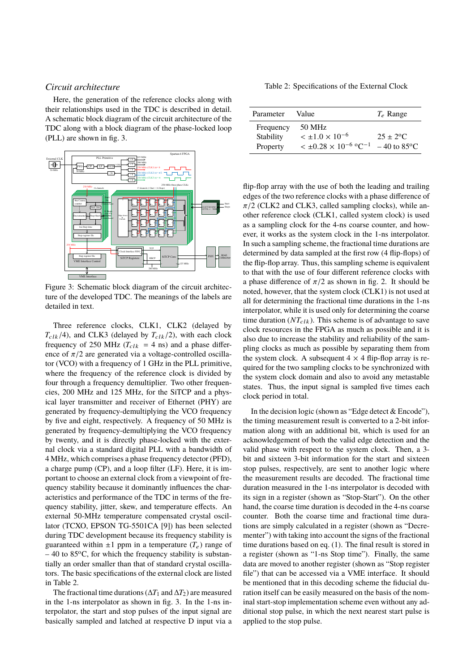#### *Circuit architecture*

Here, the generation of the reference clocks along with their relationships used in the TDC is described in detail. A schematic block diagram of the circuit architecture of the TDC along with a block diagram of the phase-locked loop (PLL) are shown in fig. 3.



Figure 3: Schematic block diagram of the circuit architecture of the developed TDC. The meanings of the labels are detailed in text.

Three reference clocks, CLK1, CLK2 (delayed by  $T_{clk}$  /4), and CLK3 (delayed by  $T_{clk}$  /2), with each clock frequency of 250 MHz ( $T_{clk}$  = 4 ns) and a phase difference of  $\pi/2$  are generated via a voltage-controlled oscillator (VCO) with a frequency of 1 GHz in the PLL primitive, where the frequency of the reference clock is divided by four through a frequency demultiplier. Two other frequencies, 200 MHz and 125 MHz, for the SiTCP and a physical layer transmitter and receiver of Ethernet (PHY) are generated by frequency-demultiplying the VCO frequency by five and eight, respectively. A frequency of 50 MHz is generated by frequency-demultiplying the VCO frequency by twenty, and it is directly phase-locked with the external clock via a standard digital PLL with a bandwidth of 4 MHz, which comprises a phase frequency detector (PFD), a charge pump (CP), and a loop filter (LF). Here, it is important to choose an external clock from a viewpoint of frequency stability because it dominantly influences the characteristics and performance of the TDC in terms of the frequency stability, jitter, skew, and temperature effects. An external 50-MHz temperature compensated crystal oscillator (TCXO, EPSON TG-5501CA [9]) has been selected during TDC development because its frequency stability is guaranteed within  $\pm 1$  ppm in a temperature  $(T_e)$  range of  $-40$  to 85<sup>o</sup>C, for which the frequency stability is substantially an order smaller than that of standard crystal oscillators. The basic specifications of the external clock are listed in Table 2.

The fractional time durations (∆*T*<sup>1</sup> and ∆*T*2) are measured in the 1-ns interpolator as shown in fig. 3. In the 1-ns interpolator, the start and stop pulses of the input signal are basically sampled and latched at respective D input via a

Table 2: Specifications of the External Clock

| Parameter                          | Value                                                                                | $T_e$ Range                                     |
|------------------------------------|--------------------------------------------------------------------------------------|-------------------------------------------------|
| Frequency<br>Stability<br>Property | 50 MHz<br>$< \pm 1.0 \times 10^{-6}$<br>$< \pm 0.28 \times 10^{-6}$ °C <sup>-1</sup> | $25 + 2^{\circ}C$<br>$-40$ to 85 <sup>o</sup> C |

flip-flop array with the use of both the leading and trailing edges of the two reference clocks with a phase difference of  $\pi/2$  (CLK2 and CLK3, called sampling clocks), while another reference clock (CLK1, called system clock) is used as a sampling clock for the 4-ns coarse counter, and however, it works as the system clock in the 1-ns interpolator. In such a sampling scheme, the fractional time durations are determined by data sampled at the first row (4 flip-flops) of the flip-flop array. Thus, this sampling scheme is equivalent to that with the use of four different reference clocks with a phase difference of  $\pi/2$  as shown in fig. 2. It should be noted, however, that the system clock (CLK1) is not used at all for determining the fractional time durations in the 1-ns interpolator, while it is used only for determining the coarse time duration  $(NT_{clk})$ . This scheme is of advantage to save clock resources in the FPGA as much as possible and it is also due to increase the stability and reliability of the sampling clocks as much as possible by separating them from the system clock. A subsequent  $4 \times 4$  flip-flop array is required for the two sampling clocks to be synchronized with the system clock domain and also to avoid any metastable states. Thus, the input signal is sampled five times each clock period in total.

In the decision logic (shown as "Edge detect  $&$  Encode"), the timing measurement result is converted to a 2-bit information along with an additional bit, which is used for an acknowledgement of both the valid edge detection and the valid phase with respect to the system clock. Then, a 3 bit and sixteen 3-bit information for the start and sixteen stop pulses, respectively, are sent to another logic where the measurement results are decoded. The fractional time duration measured in the 1-ns interpolator is decoded with its sign in a register (shown as "Stop-Start"). On the other hand, the coarse time duration is decoded in the 4-ns coarse counter. Both the coarse time and fractional time durations are simply calculated in a register (shown as "Decrementer") with taking into account the signs of the fractional time durations based on eq. (1). The final result is stored in a register (shown as "1-ns Stop time"). Finally, the same data are moved to another register (shown as "Stop register file") that can be accessed via a VME interface. It should be mentioned that in this decoding scheme the fiducial duration itself can be easily measured on the basis of the nominal start-stop implementation scheme even without any additional stop pulse, in which the next nearest start pulse is applied to the stop pulse.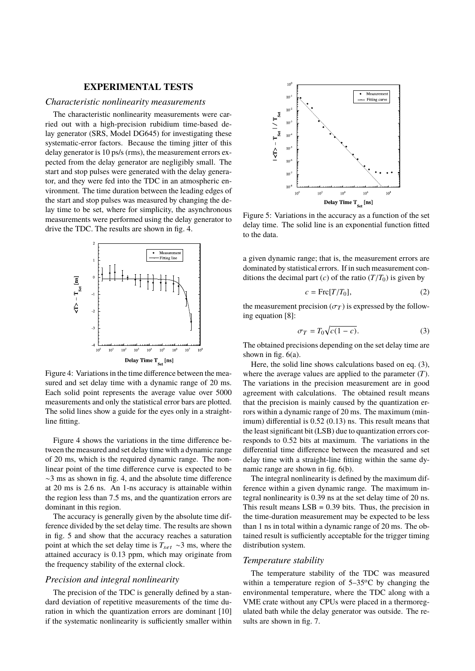## **EXPERIMENTAL TESTS**

#### *Characteristic nonlinearity measurements*

The characteristic nonlinearity measurements were carried out with a high-precision rubidium time-based delay generator (SRS, Model DG645) for investigating these systematic-error factors. Because the timing jitter of this delay generator is 10 ps/s (rms), the measurement errors expected from the delay generator are negligibly small. The start and stop pulses were generated with the delay generator, and they were fed into the TDC in an atmospheric environment. The time duration between the leading edges of the start and stop pulses was measured by changing the delay time to be set, where for simplicity, the asynchronous measurements were performed using the delay generator to drive the TDC. The results are shown in fig. 4.



Figure 4: Variations in the time difference between the measured and set delay time with a dynamic range of 20 ms. Each solid point represents the average value over 5000 measurements and only the statistical error bars are plotted. The solid lines show a guide for the eyes only in a straightline fitting.

Figure 4 shows the variations in the time difference between the measured and set delay time with a dynamic range of 20 ms, which is the required dynamic range. The nonlinear point of the time difference curve is expected to be ∼3 ms as shown in fig. 4, and the absolute time difference at 20 ms is 2.6 ns. An 1-ns accuracy is attainable within the region less than 7.5 ms, and the quantization errors are dominant in this region.

The accuracy is generally given by the absolute time difference divided by the set delay time. The results are shown in fig. 5 and show that the accuracy reaches a saturation point at which the set delay time is  $T_{set} \sim 3$  ms, where the attained accuracy is 0.13 ppm, which may originate from the frequency stability of the external clock.

# *Precision and integral nonlinearity*

The precision of the TDC is generally defined by a standard deviation of repetitive measurements of the time duration in which the quantization errors are dominant [10] if the systematic nonlinearity is sufficiently smaller within



Figure 5: Variations in the accuracy as a function of the set delay time. The solid line is an exponential function fitted to the data.

a given dynamic range; that is, the measurement errors are dominated by statistical errors. If in such measurement conditions the decimal part (*c*) of the ratio  $(T/T_0)$  is given by

$$
c = \text{Frc}[T/T_0],\tag{2}
$$

the measurement precision  $(\sigma_T)$  is expressed by the following equation [8]:

$$
\sigma_T = T_0 \sqrt{c(1 - c)}.
$$
\n(3)

The obtained precisions depending on the set delay time are shown in fig.  $6(a)$ .

Here, the solid line shows calculations based on eq. (3), where the average values are applied to the parameter (*T*). The variations in the precision measurement are in good agreement with calculations. The obtained result means that the precision is mainly caused by the quantization errors within a dynamic range of 20 ms. The maximum (minimum) differential is 0.52 (0.13) ns. This result means that the least significant bit (LSB) due to quantization errors corresponds to 0.52 bits at maximum. The variations in the differential time difference between the measured and set delay time with a straight-line fitting within the same dynamic range are shown in fig. 6(b).

The integral nonlinearity is defined by the maximum difference within a given dynamic range. The maximum integral nonlinearity is 0.39 ns at the set delay time of 20 ns. This result means  $LSB = 0.39$  bits. Thus, the precision in the time-duration measurement may be expected to be less than 1 ns in total within a dynamic range of 20 ms. The obtained result is sufficiently acceptable for the trigger timing distribution system.

#### *Temperature stability*

The temperature stability of the TDC was measured within a temperature region of  $5-35$ °C by changing the environmental temperature, where the TDC along with a VME crate without any CPUs were placed in a thermoregulated bath while the delay generator was outside. The results are shown in fig. 7.